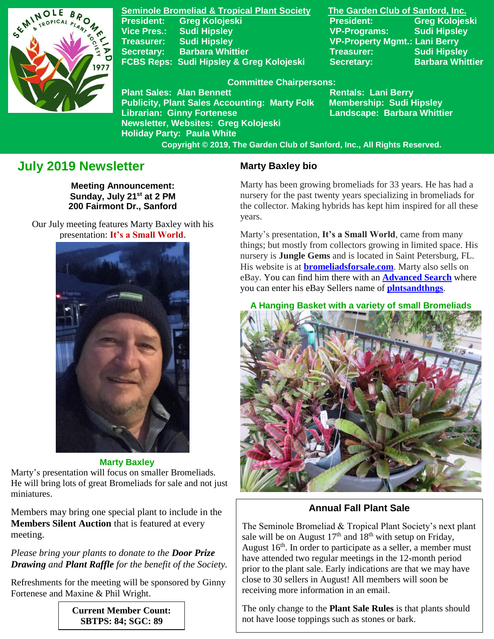

**Seminole Bromeliad & Tropical Plant Society The Garden Club of Sanford, Inc. President: Greg Kolojeski President: Greg Kolojeski Vice Pres.: Sudi Hipsley VP-Programs: Sudi Hipsley Treasurer: Sudi Hipsley VP-Property Mgmt.: Lani Berry Secretary:** Barbara Whittier **Network Treasurer:** Sudi Hipsley **FCBS Reps: Sudi Hipsley & Greg Kolojeski Secretary: Barbara Whittier** 

#### **Committee Chairpersons:**

**Plant Sales: Alan Bennett** Rentals: Lani Berry **Publicity, Plant Sales Accounting: Marty Folk Membership: Sudi Hipsley Librarian: Ginny Fortenese Landscape: Barbara Whittier Newsletter, Websites: Greg Kolojeski Holiday Party: Paula White** 

 **Copyright © 2019, The Garden Club of Sanford, Inc., All Rights Reserved.**

# **July 2019 Newsletter**

**Meeting Announcement: Sunday, July 21st at 2 PM 200 Fairmont Dr., Sanford**

 Our July meeting features Marty Baxley with his presentation: **It's a Small World**.



 **Marty Baxley** Marty's presentation will focus on smaller Bromeliads. He will bring lots of great Bromeliads for sale and not just miniatures.

Members may bring one special plant to include in the **Members Silent Auction** that is featured at every meeting.

*Please bring your plants to donate to the Door Prize Drawing and Plant Raffle for the benefit of the Society.*

Refreshments for the meeting will be sponsored by Ginny Fortenese and Maxine & Phil Wright.

> **Current Member Count: SBTPS: 84; SGC: 89**

### **Marty Baxley bio**

Marty has been growing bromeliads for 33 years. He has had a nursery for the past twenty years specializing in bromeliads for the collector. Making hybrids has kept him inspired for all these years.

Marty's presentation, **It's a Small World**, came from many things; but mostly from collectors growing in limited space. His nursery is **Jungle Gems** and is located in Saint Petersburg, FL. His website is at **[bromeliadsforsale.com](http://bromeliadsforsale.com/)**. Marty also sells on eBay. You can find him there with an **[Advanced Search](https://www.ebay.com/sch/ebayadvsearch)** where you can enter his eBay Sellers name of **[plntsandthngs](https://www.ebay.com/sch/i.html?_nkw=&_in_kw=1&_ex_kw=&_sacat=0&_udlo=&_udhi=&_ftrt=901&_ftrv=1&_sabdlo=&_sabdhi=&_samilow=&_samihi=&_sadis=15&_stpos=32708&_sargn=-1%26saslc%3D1&_salic=1&_fss=1&_fsradio=%26LH_SpecificSeller%3D1&_saslop=1&_sasl=plntsandthngs&_sop=12&_dmd=1&_ipg=50&_fosrp=1)**.

 **A Hanging Basket with a variety of small Bromeliads**



**Annual Fall Plant Sale**

The Seminole Bromeliad & Tropical Plant Society's next plant sale will be on August  $17<sup>th</sup>$  and  $18<sup>th</sup>$  with setup on Friday, August  $16<sup>th</sup>$ . In order to participate as a seller, a member must have attended two regular meetings in the 12-month period prior to the plant sale. Early indications are that we may have close to 30 sellers in August! All members will soon be receiving more information in an email.

The only change to the **Plant Sale Rules** is that plants should not have loose toppings such as stones or bark.